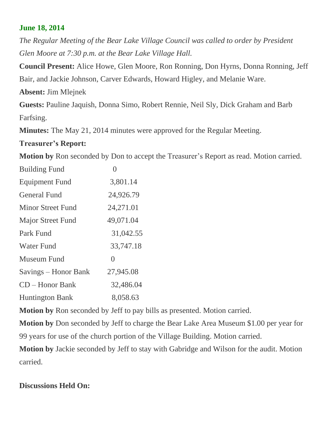## **June 18, 2014**

*The Regular Meeting of the Bear Lake Village Council was called to order by President Glen Moore at 7:30 p.m. at the Bear Lake Village Hall.*

**Council Present:** Alice Howe, Glen Moore, Ron Ronning, Don Hyrns, Donna Ronning, Jeff Bair, and Jackie Johnson, Carver Edwards, Howard Higley, and Melanie Ware.

**Absent:** Jim Mlejnek

**Guests:** Pauline Jaquish, Donna Simo, Robert Rennie, Neil Sly, Dick Graham and Barb Farfsing.

**Minutes:** The May 21, 2014 minutes were approved for the Regular Meeting.

## **Treasurer's Report:**

**Motion by** Ron seconded by Don to accept the Treasurer's Report as read. Motion carried.

| <b>Building Fund</b>     |           |
|--------------------------|-----------|
| <b>Equipment Fund</b>    | 3,801.14  |
| <b>General Fund</b>      | 24,926.79 |
| <b>Minor Street Fund</b> | 24,271.01 |
| <b>Major Street Fund</b> | 49,071.04 |
| Park Fund                | 31,042.55 |
| <b>Water Fund</b>        | 33,747.18 |
| Museum Fund              | $\Omega$  |
| Savings – Honor Bank     | 27,945.08 |
| $CD - Honor Bank$        | 32,486.04 |
| <b>Huntington Bank</b>   | 8,058.63  |
|                          |           |

**Motion by** Ron seconded by Jeff to pay bills as presented. Motion carried.

**Motion by** Don seconded by Jeff to charge the Bear Lake Area Museum \$1.00 per year for 99 years for use of the church portion of the Village Building. Motion carried.

**Motion by** Jackie seconded by Jeff to stay with Gabridge and Wilson for the audit. Motion carried.

## **Discussions Held On:**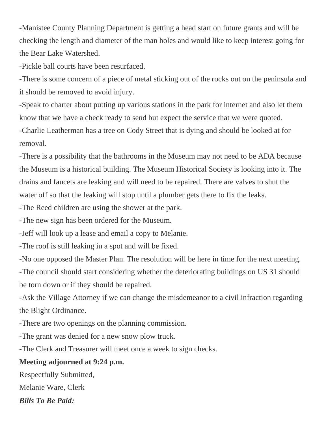-Manistee County Planning Department is getting a head start on future grants and will be checking the length and diameter of the man holes and would like to keep interest going for the Bear Lake Watershed.

-Pickle ball courts have been resurfaced.

-There is some concern of a piece of metal sticking out of the rocks out on the peninsula and it should be removed to avoid injury.

-Speak to charter about putting up various stations in the park for internet and also let them know that we have a check ready to send but expect the service that we were quoted. -Charlie Leatherman has a tree on Cody Street that is dying and should be looked at for removal.

-There is a possibility that the bathrooms in the Museum may not need to be ADA because the Museum is a historical building. The Museum Historical Society is looking into it. The drains and faucets are leaking and will need to be repaired. There are valves to shut the water off so that the leaking will stop until a plumber gets there to fix the leaks.

-The Reed children are using the shower at the park.

-The new sign has been ordered for the Museum.

-Jeff will look up a lease and email a copy to Melanie.

-The roof is still leaking in a spot and will be fixed.

-No one opposed the Master Plan. The resolution will be here in time for the next meeting. -The council should start considering whether the deteriorating buildings on US 31 should be torn down or if they should be repaired.

-Ask the Village Attorney if we can change the misdemeanor to a civil infraction regarding the Blight Ordinance.

-There are two openings on the planning commission.

-The grant was denied for a new snow plow truck.

-The Clerk and Treasurer will meet once a week to sign checks.

## **Meeting adjourned at 9:24 p.m.**

Respectfully Submitted,

Melanie Ware, Clerk

*Bills To Be Paid:*